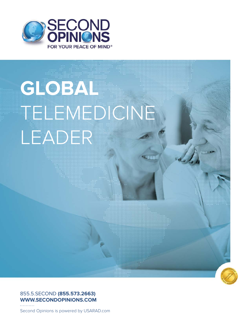

## **GLOBAL** TELEMEDICINE LEADER



**. . . . . . . . . .**

Second Opinions is powered by USARAD.com